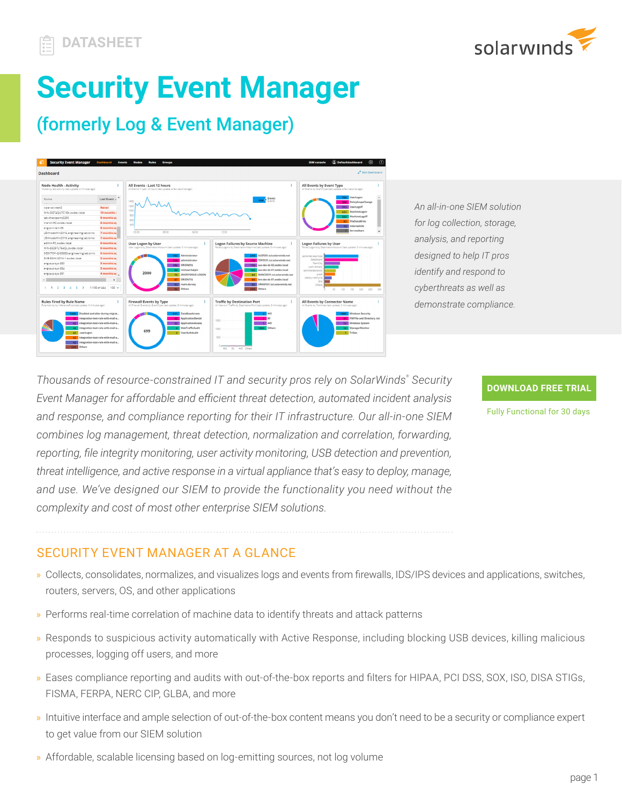



# **Security Event Manager**

# (formerly Log & Event Manager)



*An all-in-one SIEM solution for log collection, storage, analysis, and reporting designed to help IT pros identify and respond to cyberthreats as well as demonstrate compliance.*

*Thousands of resource-constrained IT and security pros rely on SolarWinds® Security Event Manager for affordable and efficient threat detection, automated incident analysis and response, and compliance reporting for their IT infrastructure. Our all-in-one SIEM combines log management, threat detection, normalization and correlation, forwarding, reporting, file integrity monitoring, user activity monitoring, USB detection and prevention, threat intelligence, and active response in a virtual appliance that's easy to deploy, manage, and use. We've designed our SIEM to provide the functionality you need without the complexity and cost of most other enterprise SIEM solutions.*

#### **[DOWNLOAD FREE TRIAL](https://www.solarwinds.com/security-event-manager/registration)**

Fully Functional for 30 days

# SECURITY EVENT MANAGER AT A GLANCE

- » Collects, consolidates, normalizes, and visualizes logs and events from firewalls, IDS/IPS devices and applications, switches, routers, servers, OS, and other applications
- » Performs real-time correlation of machine data to identify threats and attack patterns
- » Responds to suspicious activity automatically with Active Response, including blocking USB devices, killing malicious processes, logging off users, and more
- » Eases compliance reporting and audits with out-of-the-box reports and filters for HIPAA, PCI DSS, SOX, ISO, DISA STIGs, FISMA, FERPA, NERC CIP, GLBA, and more
- » Intuitive interface and ample selection of out-of-the-box content means you don't need to be a security or compliance expert to get value from our SIEM solution
- » Affordable, scalable licensing based on log-emitting sources, not log volume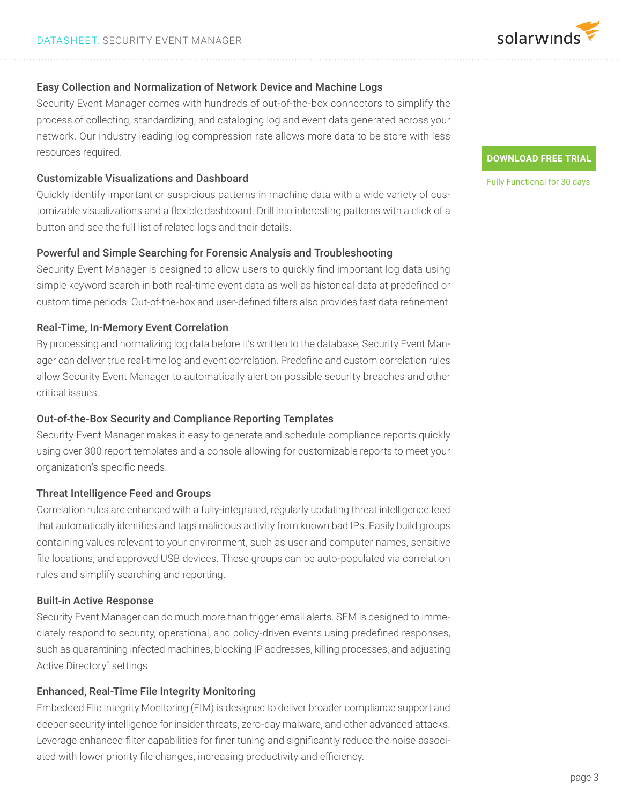

#### Easy Collection and Normalization of Network Device and Machine Logs

Security Event Manager comes with hundreds of out-of-the-box connectors to simplify the process of collecting, standardizing, and cataloging log and event data generated across your network. Our industry leading log compression rate allows more data to be store with less resources required.

#### Customizable Visualizations and Dashboard

Quickly identify important or suspicious patterns in machine data with a wide variety of customizable visualizations and a flexible dashboard. Drill into interesting patterns with a click of a button and see the full list of related logs and their details.

#### Powerful and Simple Searching for Forensic Analysis and Troubleshooting

Security Event Manager is designed to allow users to quickly find important log data using simple keyword search in both real-time event data as well as historical data at predefined or custom time periods. Out-of-the-box and user-defined filters also provides fast data refinement.

#### Real-Time, In-Memory Event Correlation

By processing and normalizing log data before it's written to the database, Security Event Manager can deliver true real-time log and event correlation. Predefine and custom correlation rules allow Security Event Manager to automatically alert on possible security breaches and other critical issues.

#### Out-of-the-Box Security and Compliance Reporting Templates

Security Event Manager makes it easy to generate and schedule compliance reports quickly using over 300 report templates and a console allowing for customizable reports to meet your organization's specific needs.

#### Threat Intelligence Feed and Groups

Correlation rules are enhanced with a fully-integrated, regularly updating threat intelligence feed that automatically identifies and tags malicious activity from known bad IPs. Easily build groups containing values relevant to your environment, such as user and computer names, sensitive file locations, and approved USB devices. These groups can be auto-populated via correlation rules and simplify searching and reporting.

#### Built-in Active Response

Security Event Manager can do much more than trigger email alerts. SEM is designed to immediately respond to security, operational, and policy-driven events using predefined responses, such as quarantining infected machines, blocking IP addresses, killing processes, and adjusting Active Directory® settings.

## Enhanced, Real-Time File Integrity Monitoring

Embedded File Integrity Monitoring (FIM) is designed to deliver broader compliance support and deeper security intelligence for insider threats, zero-day malware, and other advanced attacks. Leverage enhanced filter capabilities for finer tuning and significantly reduce the noise associated with lower priority file changes, increasing productivity and efficiency.

#### **[DOWNLOAD FREE TRIAL](https://www.solarwinds.com/security-event-manager/registration)**

Fully Functional for 30 days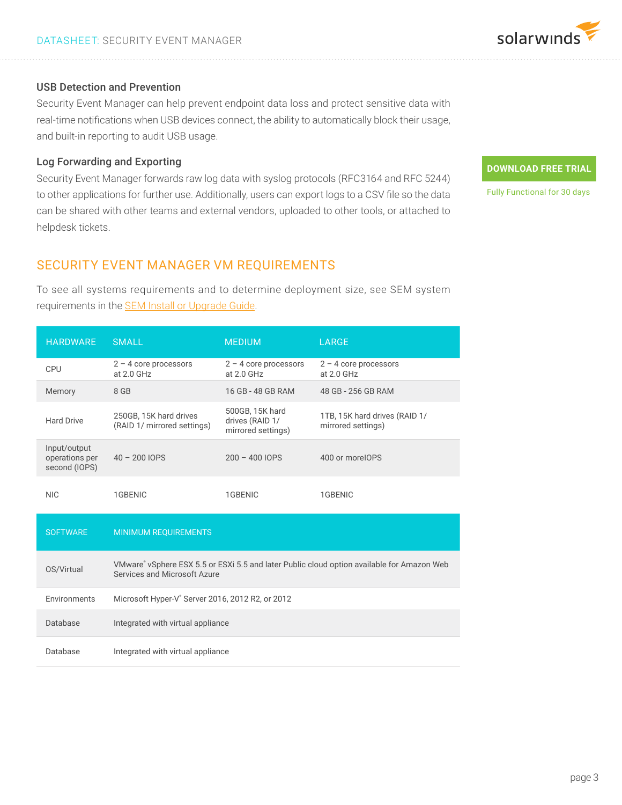

#### USB Detection and Prevention

Security Event Manager can help prevent endpoint data loss and protect sensitive data with real-time notifications when USB devices connect, the ability to automatically block their usage, and built-in reporting to audit USB usage.

#### Log Forwarding and Exporting

Security Event Manager forwards raw log data with syslog protocols (RFC3164 and RFC 5244) to other applications for further use. Additionally, users can export logs to a CSV file so the data can be shared with other teams and external vendors, uploaded to other tools, or attached to helpdesk tickets.

# **[DOWNLOAD FREE TRIAL](https://www.solarwinds.com/security-event-manager/registration)**

Fully Functional for 30 days

### SECURITY EVENT MANAGER VM REQUIREMENTS

To see all systems requirements and to determine deployment size, see SEM system requirements in the **SEM Install or Upgrade Guide**.

| <b>HARDWARE</b>                                 | <b>SMALL</b>                                                                                                               | <b>MEDIUM</b>                                            | <b>LARGE</b>                                        |
|-------------------------------------------------|----------------------------------------------------------------------------------------------------------------------------|----------------------------------------------------------|-----------------------------------------------------|
| <b>CPU</b>                                      | $2 - 4$ core processors<br>at 2.0 GHz                                                                                      | $2 - 4$ core processors<br>at $2.0$ GHz                  | $2 - 4$ core processors<br>at 2.0 GHz               |
| Memory                                          | 8 GB                                                                                                                       | 16 GB - 48 GB RAM                                        | 48 GB - 256 GB RAM                                  |
| <b>Hard Drive</b>                               | 250GB, 15K hard drives<br>(RAID 1/ mirrored settings)                                                                      | 500GB, 15K hard<br>drives (RAID 1/<br>mirrored settings) | 1TB, 15K hard drives (RAID 1/<br>mirrored settings) |
| Input/output<br>operations per<br>second (IOPS) | $40 - 200$ IOPS                                                                                                            | $200 - 400$ IOPS                                         | 400 or moreIOPS                                     |
| <b>NIC</b>                                      | 1GBENIC                                                                                                                    | 1GBENIC                                                  | 1GBENIC                                             |
| <b>SOFTWARE</b>                                 | <b>MINIMUM REQUIREMENTS</b>                                                                                                |                                                          |                                                     |
| OS/Virtual                                      | VMware® vSphere ESX 5.5 or ESXi 5.5 and later Public cloud option available for Amazon Web<br>Services and Microsoft Azure |                                                          |                                                     |
| Environments                                    | Microsoft Hyper-V <sup>®</sup> Server 2016, 2012 R2, or 2012                                                               |                                                          |                                                     |
| Database                                        | Integrated with virtual appliance                                                                                          |                                                          |                                                     |
| Database                                        | Integrated with virtual appliance                                                                                          |                                                          |                                                     |